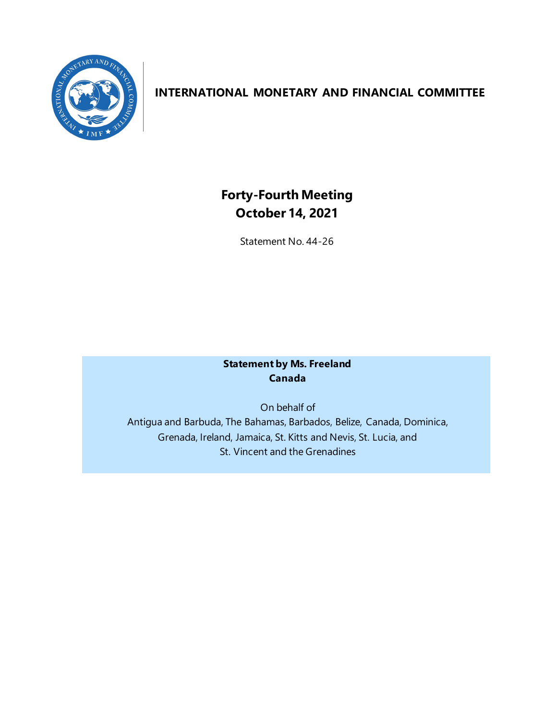

## **INTERNATIONAL MONETARY AND FINANCIAL COMMITTEE**

# **Forty-Fourth Meeting October 14, 2021**

Statement No. 44-26

## **Statement by Ms. Freeland Canada**

On behalf of Antigua and Barbuda, The Bahamas, Barbados, Belize, Canada, Dominica, Grenada, Ireland, Jamaica, St. Kitts and Nevis, St. Lucia, and St. Vincent and the Grenadines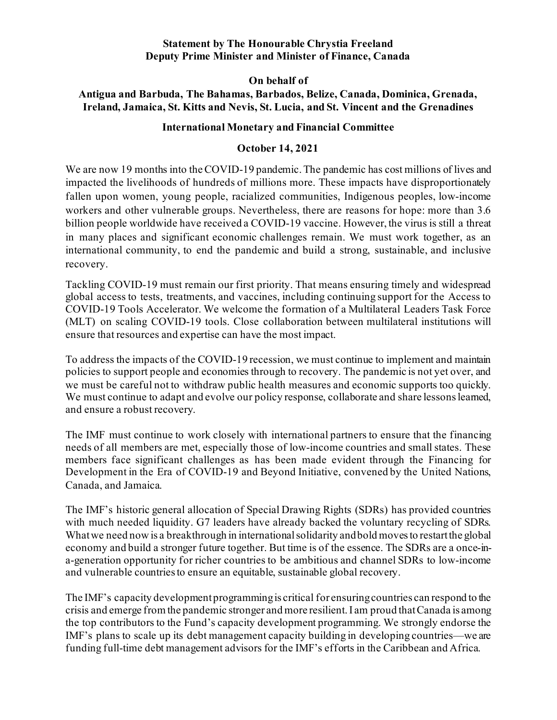#### **Statement by The Honourable Chrystia Freeland Deputy Prime Minister and Minister of Finance, Canada**

**On behalf of**

## **Antigua and Barbuda, The Bahamas, Barbados, Belize, Canada, Dominica, Grenada, Ireland, Jamaica, St. Kitts and Nevis, St. Lucia, and St. Vincent and the Grenadines**

#### **International Monetary and Financial Committee**

#### **October 14, 2021**

We are now 19 months into the COVID-19 pandemic. The pandemic has cost millions of lives and impacted the livelihoods of hundreds of millions more. These impacts have disproportionately fallen upon women, young people, racialized communities, Indigenous peoples, low-income workers and other vulnerable groups. Nevertheless, there are reasons for hope: more than 3.6 billion people worldwide have received a COVID-19 vaccine. However, the virus is still a threat in many places and significant economic challenges remain. We must work together, as an international community, to end the pandemic and build a strong, sustainable, and inclusive recovery.

Tackling COVID-19 must remain our first priority. That means ensuring timely and widespread global access to tests, treatments, and vaccines, including continuing support for the Access to COVID-19 Tools Accelerator. We welcome the formation of a Multilateral Leaders Task Force (MLT) on scaling COVID-19 tools. Close collaboration between multilateral institutions will ensure that resources and expertise can have the most impact.

To address the impacts of the COVID-19 recession, we must continue to implement and maintain policies to support people and economies through to recovery. The pandemic is not yet over, and we must be careful not to withdraw public health measures and economic supports too quickly. We must continue to adapt and evolve our policy response, collaborate and share lessons learned, and ensure a robust recovery.

The IMF must continue to work closely with international partners to ensure that the financing needs of all members are met, especially those of low-income countries and small states. These members face significant challenges as has been made evident through the Financing for Development in the Era of COVID-19 and Beyond Initiative, convened by the United Nations, Canada, and Jamaica.

The IMF's historic general allocation of Special Drawing Rights (SDRs) has provided countries with much needed liquidity. G7 leaders have already backed the voluntary recycling of SDRs. What we need now is a breakthrough in international solidarity and bold moves to restart the global economy and build a stronger future together. But time is of the essence. The SDRs are a once-ina-generation opportunity for richer countries to be ambitious and channel SDRs to low-income and vulnerable countries to ensure an equitable, sustainable global recovery.

The IMF's capacity development programming is critical for ensuringcountries can respond to the crisis and emerge fromthe pandemic stronger and more resilient. I am proud that Canada is among the top contributors to the Fund's capacity development programming. We strongly endorse the IMF's plans to scale up its debt management capacity building in developing countries—we are funding full-time debt management advisors for the IMF's efforts in the Caribbean and Africa.